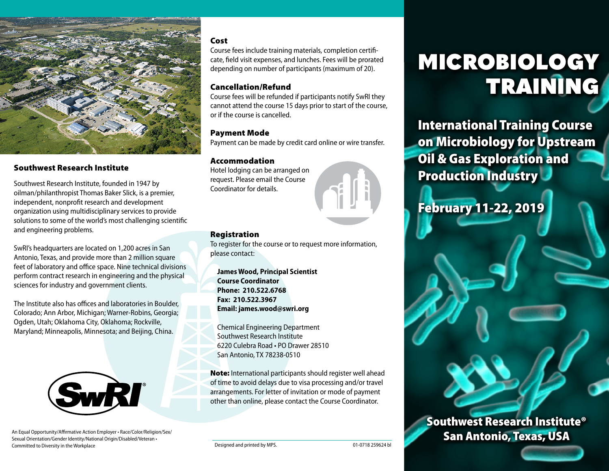

### Southwest Research Institute

Southwest Research Institute, founded in 1947 by oilman/philanthropist Thomas Baker Slick, is a premier, independent, nonprofit research and development organization using multidisciplinary services to provide solutions to some of the world's most challenging scientific and engineering problems.

SwRI's headquarters are located on 1,200 acres in San Antonio, Texas, and provide more than 2 million square feet of laboratory and office space. Nine technical divisions perform contract research in engineering and the physical sciences for industry and government clients.

The Institute also has offices and laboratories in Boulder, Colorado; Ann Arbor, Michigan; Warner-Robins, Georgia; Ogden, Utah; Oklahoma City, Oklahoma; Rockville, Maryland; Minneapolis, Minnesota; and Beijing, China.



An Equal Opportunity/Affirmative Action Employer • Race/Color/Religion/Sex/ Sexual Orientation/Gender Identity/National Origin/Disabled/Veteran • Committed to Diversity in the Workplace **Designed and printed by MPS.** Committed to Diversity in the Workplace Designed and printed by MPS.

### Cost

Course fees include training materials, completion certificate, field visit expenses, and lunches. Fees will be prorated depending on number of participants (maximum of 20).

### Cancellation/Refund

Course fees will be refunded if participants notify SwRI they cannot attend the course 15 days prior to start of the course, or if the course is cancelled.

### Payment Mode

Payment can be made by credit card online or wire transfer.

### Accommodation

Hotel lodging can be arranged on request. Please email the Course Coordinator for details.



### Registration

To register for the course or to request more information, please contact:

**James Wood, Principal Scientist Course Coordinator Phone: 210.522.6768 Fax: 210.522.3967 Email: james.wood@swri.org**

Chemical Engineering Department Southwest Research Institute 6220 Culebra Road • PO Drawer 28510 San Antonio, TX 78238-0510

Note: International participants should register well ahead of time to avoid delays due to visa processing and/or travel arrangements. For letter of invitation or mode of payment other than online, please contact the Course Coordinator.

# MICROBIOLOGY TRAINING

International Training Course on Microbiology for Upstream Oil & Gas Exploration and Production Industry

Southwest Research Institute®

San Antonio, Texas, USA

## February 11-22, 2019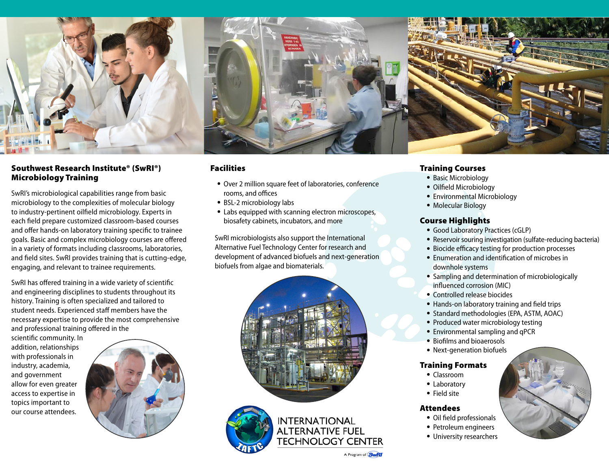

### Southwest Research Institute® (SwRI®) Microbiology Training

SwRI's microbiological capabilities range from basic microbiology to the complexities of molecular biology to industry-pertinent oilfield microbiology. Experts in each field prepare customized classroom-based courses and offer hands-on laboratory training specific to trainee goals. Basic and complex microbiology courses are offered in a variety of formats including classrooms, laboratories, and field sites. SwRI provides training that is cutting-edge, engaging, and relevant to trainee requirements.

SwRI has offered training in a wide variety of scientific and engineering disciplines to students throughout its history. Training is often specialized and tailored to student needs. Experienced staff members have the necessary expertise to provide the most comprehensive and professional training offered in the

scientific community. In addition, relationships with professionals in industry, academia, and government allow for even greater access to expertise in topics important to our course attendees.





### Facilities

- Over 2 million square feet of laboratories, conference rooms, and offices
- BSL-2 microbiology labs
- Labs equipped with scanning electron microscopes, biosafety cabinets, incubators, and more

SwRI microbiologists also support the International Alternative Fuel Technology Center for research and development of advanced biofuels and next-generation biofuels from algae and biomaterials.



**INTERNATIONAL** 



### Training Courses

- Basic Microbiology
- Oilfield Microbiology
- Environmental Microbiology
- Molecular Biology

### Course Highlights

- Good Laboratory Practices (cGLP)
- Reservoir souring investigation (sulfate-reducing bacteria)
- Biocide efficacy testing for production processes
- Enumeration and identification of microbes in downhole systems
- Sampling and determination of microbiologically influenced corrosion (MIC)
- Controlled release biocides
- Hands-on laboratory training and field trips
- Standard methodologies (EPA, ASTM, AOAC)
- Produced water microbiology testing
- Environmental sampling and qPCR
- Biofilms and bioaerosols
- Next-generation biofuels

### Training Formats

- Classroom
- Laboratory
- Field site

### Attendees

- Oil field professionals
- Petroleum engineers
- University researchers